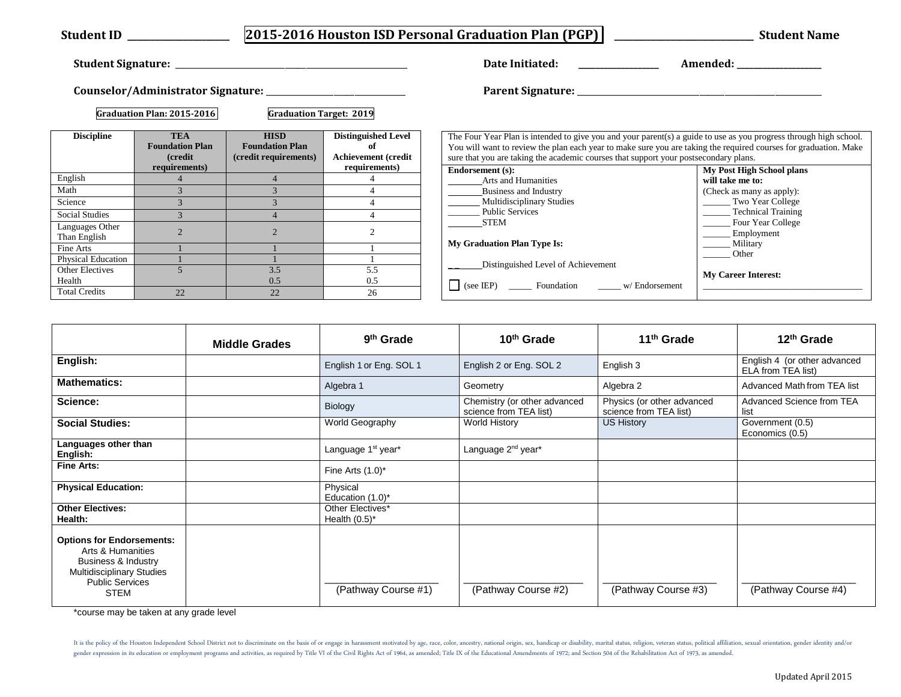|                                 |                                                         |                                                                |                                                                | Date Initiated:                                                                                                                                                                                                                                                                                                               |                                                                   |  |
|---------------------------------|---------------------------------------------------------|----------------------------------------------------------------|----------------------------------------------------------------|-------------------------------------------------------------------------------------------------------------------------------------------------------------------------------------------------------------------------------------------------------------------------------------------------------------------------------|-------------------------------------------------------------------|--|
|                                 |                                                         |                                                                |                                                                |                                                                                                                                                                                                                                                                                                                               |                                                                   |  |
|                                 | Graduation Plan: 2015-2016                              | <b>Graduation Target: 2019</b>                                 |                                                                |                                                                                                                                                                                                                                                                                                                               |                                                                   |  |
| <b>Discipline</b>               | <b>TEA</b><br><b>Foundation Plan</b><br><b>(credit)</b> | <b>HISD</b><br><b>Foundation Plan</b><br>(credit requirements) | <b>Distinguished Level</b><br>of<br><b>Achievement</b> (credit | The Four Year Plan is intended to give you and your parent(s) a guide to use as you progress through high school.<br>You will want to review the plan each year to make sure you are taking the required courses for graduation. Make<br>sure that you are taking the academic courses that support your postsecondary plans. |                                                                   |  |
|                                 | requirements)                                           | $\overline{4}$                                                 | requirements)                                                  | Endorsement (s):                                                                                                                                                                                                                                                                                                              | My Post High School plans                                         |  |
| English<br>Math                 | $\overline{4}$                                          |                                                                |                                                                | <b>Arts and Humanities</b>                                                                                                                                                                                                                                                                                                    | will take me to:<br>(Check as many as apply):<br>Two Year College |  |
|                                 | $\mathcal{R}$                                           |                                                                |                                                                | Business and Industry                                                                                                                                                                                                                                                                                                         |                                                                   |  |
| Science                         | $\mathcal{R}$                                           |                                                                |                                                                | <b>Multidisciplinary Studies</b><br><b>Public Services</b>                                                                                                                                                                                                                                                                    |                                                                   |  |
| <b>Social Studies</b>           | $\mathcal{F}$                                           |                                                                |                                                                | STEM                                                                                                                                                                                                                                                                                                                          | Technical Training                                                |  |
| Languages Other<br>Than English | $\overline{2}$                                          |                                                                |                                                                |                                                                                                                                                                                                                                                                                                                               | Four Year College<br>Employment<br>_____ Military<br>Other        |  |
| Fine Arts                       |                                                         |                                                                |                                                                | <b>My Graduation Plan Type Is:</b>                                                                                                                                                                                                                                                                                            |                                                                   |  |
| <b>Physical Education</b>       |                                                         |                                                                |                                                                | Distinguished Level of Achievement                                                                                                                                                                                                                                                                                            |                                                                   |  |
| Other Electives<br>Health       |                                                         | 3.5<br>0.5                                                     | 5.5<br>0.5                                                     | (see IEP) ________ Foundation __________ w/ Endorsement                                                                                                                                                                                                                                                                       | <b>My Career Interest:</b>                                        |  |
| <b>Total Credits</b>            | 22                                                      | 22                                                             | 26                                                             |                                                                                                                                                                                                                                                                                                                               |                                                                   |  |

|                                                                                                                                                    | <b>Middle Grades</b> | 9 <sup>th</sup> Grade                | 10 <sup>th</sup> Grade                                 | 11 <sup>th</sup> Grade                               | 12 <sup>th</sup> Grade                             |
|----------------------------------------------------------------------------------------------------------------------------------------------------|----------------------|--------------------------------------|--------------------------------------------------------|------------------------------------------------------|----------------------------------------------------|
| English:                                                                                                                                           |                      | English 1 or Eng. SOL 1              | English 2 or Eng. SOL 2                                | English 3                                            | English 4 (or other advanced<br>ELA from TEA list) |
| <b>Mathematics:</b>                                                                                                                                |                      | Algebra 1                            | Geometry                                               | Algebra 2                                            | Advanced Math from TEA list                        |
| Science:                                                                                                                                           |                      | <b>Biology</b>                       | Chemistry (or other advanced<br>science from TEA list) | Physics (or other advanced<br>science from TEA list) | Advanced Science from TEA<br>list                  |
| <b>Social Studies:</b>                                                                                                                             |                      | World Geography                      | <b>World History</b>                                   | <b>US History</b>                                    | Government (0.5)<br>Economics (0.5)                |
| Languages other than<br>English:                                                                                                                   |                      | Language 1 <sup>st</sup> year*       | Language 2 <sup>nd</sup> year*                         |                                                      |                                                    |
| <b>Fine Arts:</b>                                                                                                                                  |                      | Fine Arts $(1.0)^*$                  |                                                        |                                                      |                                                    |
| <b>Physical Education:</b>                                                                                                                         |                      | Physical<br>Education $(1.0)^*$      |                                                        |                                                      |                                                    |
| <b>Other Electives:</b><br>Health:                                                                                                                 |                      | Other Electives*<br>Health $(0.5)^*$ |                                                        |                                                      |                                                    |
| <b>Options for Endorsements:</b><br>Arts & Humanities<br>Business & Industry<br>Multidisciplinary Studies<br><b>Public Services</b><br><b>STEM</b> |                      | (Pathway Course #1)                  | (Pathway Course #2)                                    | (Pathway Course #3)                                  | (Pathway Course #4)                                |

\*course may be taken at any grade level **\*course may be taken at any** 

It is the policy of the Houston Independent School District not to discriminate on the basis of or engage in harassment motivated by age, race, color, ancestry, national origin, sex, handicap or disability, marital status, gender expression in its education or employment programs and activities, as required by Title VI of the Civil Rights Act of 1964, as amended; Title IX of the Educational Amendments of 1972; and Section 504 of the Rehabili